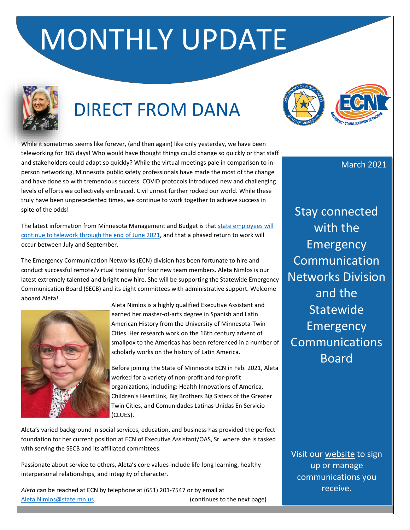# MONTHLY UPDATE



# DIRECT FROM DANA



While it sometimes seems like forever, (and then again) like only yesterday, we have been teleworking for 365 days! Who would have thought things could change so quickly or that staff and stakeholders could adapt so quickly? While the virtual meetings pale in comparison to inperson networking, Minnesota public safety professionals have made the most of the change and have done so with tremendous success. COVID protocols introduced new and challenging levels of efforts we collectively embraced. Civil unrest further rocked our world. While these truly have been unprecedented times, we continue to work together to achieve success in spite of the odds!

The latest information from Minnesota Management and Budget is tha[t state employees will](https://content.govdelivery.com/accounts/MNDPS/bulletins/2c7b972)  [continue to telework through the end of June 2021,](https://content.govdelivery.com/accounts/MNDPS/bulletins/2c7b972) and that a phased return to work will occur between July and September.

The Emergency Communication Networks (ECN) division has been fortunate to hire and conduct successful remote/virtual training for four new team members. Aleta Nimlos is our latest extremely talented and bright new hire. She will be supporting the Statewide Emergency Communication Board (SECB) and its eight committees with administrative support. Welcome aboard Aleta!



Aleta Nimlos is a highly qualified Executive Assistant and earned her master-of-arts degree in Spanish and Latin American History from the University of Minnesota-Twin Cities. Her research work on the 16th century advent of smallpox to the Americas has been referenced in a number of scholarly works on the history of Latin America.

Before joining the State of Minnesota ECN in Feb. 2021, Aleta worked for a variety of non-profit and for-profit organizations, including: Health Innovations of America, Children's HeartLink, Big Brothers Big Sisters of the Greater Twin Cities, and Comunidades Latinas Unidas En Servicio (CLUES).

Aleta's varied background in social services, education, and business has provided the perfect foundation for her current position at ECN of Executive Assistant/OAS, Sr. where she is tasked with serving the SECB and its affiliated committees.

Passionate about service to others, Aleta's core values include life-long learning, healthy interpersonal relationships, and integrity of character.

*Aleta* can be reached at ECN by telephone at (651) 201-7547 or by email at [Aleta.Nimlos@state.mn.us.](mailto:Aleta.Nimlos@state.mn.us) (continues to the next page) March 2021

Stay connected with the Emergency **Communication** Networks Division and the **Statewide** Emergency Communications **Board** 

Visit our [website](http://ecn.dps.mn.gov/) to sign up or manage communications you receive.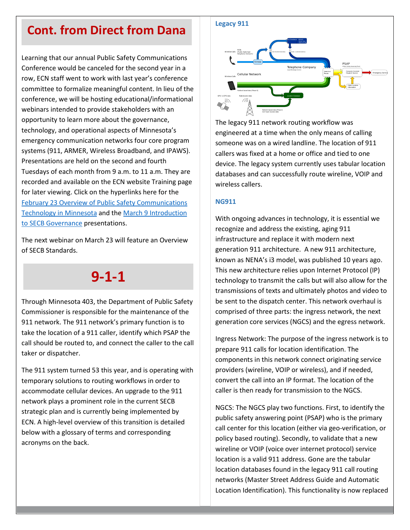### **Cont. from Direct from Dana**

Learning that our annual Public Safety Communications Conference would be canceled for the second year in a row, ECN staff went to work with last year's conference committee to formalize meaningful content. In lieu of the conference, we will be hosting educational/informational webinars intended to provide stakeholders with an opportunity to learn more about the governance, technology, and operational aspects of Minnesota's emergency communication networks four core program systems (911, ARMER, Wireless Broadband, and IPAWS). Presentations are held on the second and fourth Tuesdays of each month from 9 a.m. to 11 a.m. They are recorded and available on the ECN website Training page for later viewing. Click on the hyperlinks here for the [February 23 Overview of Public Safety Communications](https://minnesota.webex.com/recordingservice/sites/minnesota/recording/c4ee29b83e25486fb13d2723cee11358/playback)  [Technology in Minnesota](https://minnesota.webex.com/recordingservice/sites/minnesota/recording/c4ee29b83e25486fb13d2723cee11358/playback) and the [March 9 Introduction](https://minnesota.webex.com/minnesota/ldr.php?RCID=3b1a1dcb26e24016b4d6834e82d0856f)  [to SECB Governance](https://minnesota.webex.com/minnesota/ldr.php?RCID=3b1a1dcb26e24016b4d6834e82d0856f) presentations.

The next webinar on March 23 will feature an Overview of SECB Standards.

### **9-1-1**

Through Minnesota 403, the Department of Public Safety Commissioner is responsible for the maintenance of the 911 network. The 911 network's primary function is to take the location of a 911 caller, identify which PSAP the call should be routed to, and connect the caller to the call taker or dispatcher.

The 911 system turned 53 this year, and is operating with temporary solutions to routing workflows in order to accommodate cellular devices. An upgrade to the 911 network plays a prominent role in the current SECB strategic plan and is currently being implemented by ECN. A high-level overview of this transition is detailed below with a glossary of terms and corresponding acronyms on the back.



The legacy 911 network routing workflow was engineered at a time when the only means of calling someone was on a wired landline. The location of 911 callers was fixed at a home or office and tied to one device. The legacy system currently uses tabular location databases and can successfully route wireline, VOIP and wireless callers.

#### **NG911**

With ongoing advances in technology, it is essential we recognize and address the existing, aging 911 infrastructure and replace it with modern next generation 911 architecture. A new 911 architecture, known as NENA's i3 model, was published 10 years ago. This new architecture relies upon Internet Protocol (IP) technology to transmit the calls but will also allow for the transmissions of texts and ultimately photos and video to be sent to the dispatch center. This network overhaul is comprised of three parts: the ingress network, the next generation core services (NGCS) and the egress network.

Ingress Network: The purpose of the ingress network is to prepare 911 calls for location identification. The components in this network connect originating service providers (wireline, VOIP or wireless), and if needed, convert the call into an IP format. The location of the caller is then ready for transmission to the NGCS.

NGCS: The NGCS play two functions. First, to identify the public safety answering point (PSAP) who is the primary call center for this location (either via geo-verification, or policy based routing). Secondly, to validate that a new wireline or VOIP (voice over internet protocol) service location is a valid 911 address. Gone are the tabular location databases found in the legacy 911 call routing networks (Master Street Address Guide and Automatic Location Identification). This functionality is now replaced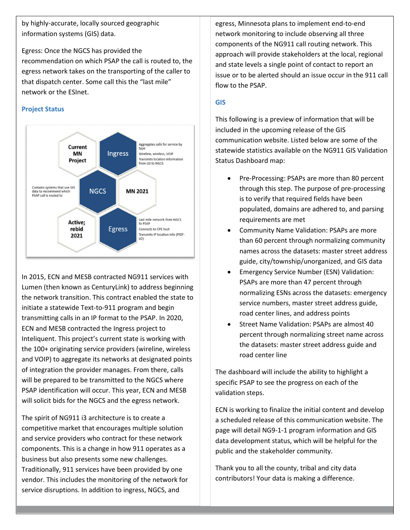by highly-accurate, locally sourced geographic information systems (GIS) data.

Egress: Once the NGCS has provided the recommendation on which PSAP the call is routed to, the egress network takes on the transporting of the caller to that dispatch center. Some call this the "last mile" network or the ESInet.

#### **Project Status**



In 2015, ECN and MESB contracted NG911 services with Lumen (then known as CenturyLink) to address beginning the network transition. This contract enabled the state to initiate a statewide Text-to-911 program and begin transmitting calls in an IP format to the PSAP. In 2020, ECN and MESB contracted the Ingress project to Inteliquent. This project's current state is working with the 100+ originating service providers (wireline, wireless and VOIP) to aggregate its networks at designated points of integration the provider manages. From there, calls will be prepared to be transmitted to the NGCS where PSAP identification will occur. This year, ECN and MESB will solicit bids for the NGCS and the egress network.

The spirit of NG911 i3 architecture is to create a competitive market that encourages multiple solution and service providers who contract for these network components. This is a change in how 911 operates as a business but also presents some new challenges. Traditionally, 911 services have been provided by one vendor. This includes the monitoring of the network for service disruptions. In addition to ingress, NGCS, and

egress, Minnesota plans to implement end-to-end network monitoring to include observing all three components of the NG911 call routing network. This approach will provide stakeholders at the local, regional and state levels a single point of contact to report an issue or to be alerted should an issue occur in the 911 call flow to the PSAP.

#### **GIS**

This following is a preview of information that will be included in the upcoming release of the GIS communication website. Listed below are some of the statewide statistics available on the NG911 GIS Validation Status Dashboard map:

- Pre-Processing: PSAPs are more than 80 percent through this step. The purpose of pre-processing is to verify that required fields have been populated, domains are adhered to, and parsing requirements are met
- Community Name Validation: PSAPs are more than 60 percent through normalizing community names across the datasets: master street address guide, city/township/unorganized, and GIS data
- Emergency Service Number (ESN) Validation: PSAPs are more than 47 percent through normalizing ESNs across the datasets: emergency service numbers, master street address guide, road center lines, and address points
- Street Name Validation: PSAPs are almost 40 percent through normalizing street name across the datasets: master street address guide and road center line

The dashboard will include the ability to highlight a specific PSAP to see the progress on each of the validation steps.

ECN is working to finalize the initial content and develop a scheduled release of this communication website. The page will detail NG9-1-1 program information and GIS data development status, which will be helpful for the public and the stakeholder community.

Thank you to all the county, tribal and city data contributors! Your data is making a difference.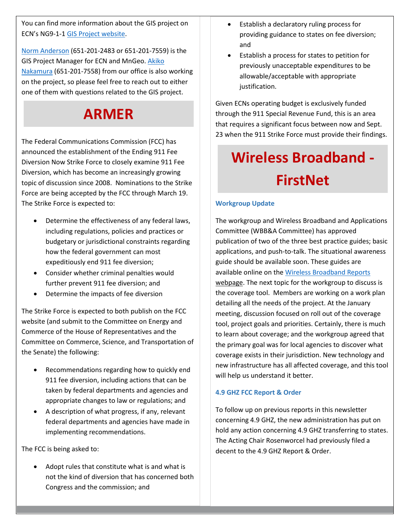You can find more information about the GIS project on ECN's NG9-1-1 [GIS Project website.](https://dps.mn.gov/divisions/ecn/programs/911/Pages/gis-information.aspx)

[Norm Anderson](mailto:Norm.Anderson@state.mn.us) (651-201-2483 or 651-201-7559) is the GIS Project Manager for ECN and MnGeo[. Akiko](mailto:Akiko.Nakamura@state.mn.us)  [Nakamura](mailto:Akiko.Nakamura@state.mn.us) (651-201-7558) from our office is also working on the project, so please feel free to reach out to either one of them with questions related to the GIS project.

### **ARMER**

The Federal Communications Commission (FCC) has announced the establishment of the Ending 911 Fee Diversion Now Strike Force to closely examine 911 Fee Diversion, which has become an increasingly growing topic of discussion since 2008. Nominations to the Strike Force are being accepted by the FCC through March 19. The Strike Force is expected to:

- Determine the effectiveness of any federal laws, including regulations, policies and practices or budgetary or jurisdictional constraints regarding how the federal government can most expeditiously end 911 fee diversion;
- Consider whether criminal penalties would further prevent 911 fee diversion; and
- Determine the impacts of fee diversion

The Strike Force is expected to both publish on the FCC website (and submit to the Committee on Energy and Commerce of the House of Representatives and the Committee on Commerce, Science, and Transportation of the Senate) the following:

- Recommendations regarding how to quickly end 911 fee diversion, including actions that can be taken by federal departments and agencies and appropriate changes to law or regulations; and
- A description of what progress, if any, relevant federal departments and agencies have made in implementing recommendations.

The FCC is being asked to:

• Adopt rules that constitute what is and what is not the kind of diversion that has concerned both Congress and the commission; and

- Establish a declaratory ruling process for providing guidance to states on fee diversion; and
- Establish a process for states to petition for previously unacceptable expenditures to be allowable/acceptable with appropriate justification.

Given ECNs operating budget is exclusively funded through the 911 Special Revenue Fund, this is an area that requires a significant focus between now and Sept. 23 when the 911 Strike Force must provide their findings.

# **Wireless Broadband - FirstNet**

### **Workgroup Update**

The workgroup and Wireless Broadband and Applications Committee (WBB&A Committee) has approved publication of two of the three best practice guides; basic applications, and push-to-talk. The situational awareness guide should be available soon. These guides are available online on the [Wireless Broadband Reports](https://dps.mn.gov/divisions/ecn/programs/wireless-broadband/Pages/wireless-broadband-reports.aspx) webpage. The next topic for the workgroup to discuss is the coverage tool. Members are working on a work plan detailing all the needs of the project. At the January meeting, discussion focused on roll out of the coverage tool, project goals and priorities. Certainly, there is much to learn about coverage; and the workgroup agreed that the primary goal was for local agencies to discover what coverage exists in their jurisdiction. New technology and new infrastructure has all affected coverage, and this tool will help us understand it better.

### **4.9 GHZ FCC Report & Order**

To follow up on previous reports in this newsletter concerning 4.9 GHZ, the new administration has put on hold any action concerning 4.9 GHZ transferring to states. The Acting Chair Rosenworcel had previously filed a decent to the 4.9 GHZ Report & Order.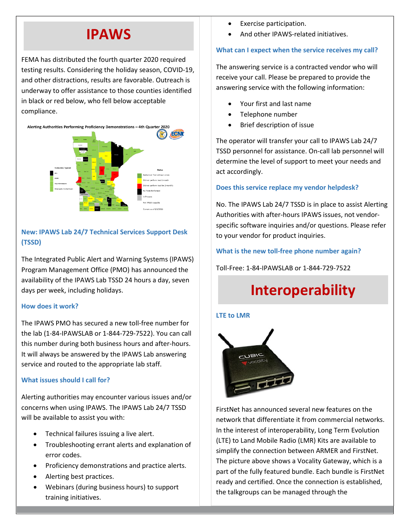### **IPAWS**

FEMA has distributed the fourth quarter 2020 required testing results. Considering the holiday season, COVID-19, and other distractions, results are favorable. Outreach is underway to offer assistance to those counties identified in black or red below, who fell below acceptable compliance.



### **New: IPAWS Lab 24/7 Technical Services Support Desk (TSSD)**

The Integrated Public Alert and Warning Systems (IPAWS) Program Management Office (PMO) has announced the availability of the IPAWS Lab TSSD 24 hours a day, seven days per week, including holidays.

### **How does it work?**

The IPAWS PMO has secured a new toll-free number for the lab (1-84-IPAWSLAB or 1-844-729-7522). You can call this number during both business hours and after-hours. It will always be answered by the IPAWS Lab answering service and routed to the appropriate lab staff.

### **What issues should I call for?**

Alerting authorities may encounter various issues and/or concerns when using IPAWS. The IPAWS Lab 24/7 TSSD will be available to assist you with:

- Technical failures issuing a live alert.
- Troubleshooting errant alerts and explanation of error codes.
- Proficiency demonstrations and practice alerts.
- Alerting best practices.
- Webinars (during business hours) to support training initiatives.
- Exercise participation.
- And other IPAWS-related initiatives.

### **What can I expect when the service receives my call?**

The answering service is a contracted vendor who will receive your call. Please be prepared to provide the answering service with the following information:

- Your first and last name
- Telephone number
- Brief description of issue

The operator will transfer your call to IPAWS Lab 24/7 TSSD personnel for assistance. On-call lab personnel will determine the level of support to meet your needs and act accordingly.

### **Does this service replace my vendor helpdesk?**

No. The IPAWS Lab 24/7 TSSD is in place to assist Alerting Authorities with after-hours IPAWS issues, not vendorspecific software inquiries and/or questions. Please refer to your vendor for product inquiries.

**What is the new toll-free phone number again?**

Toll-Free: 1-84-IPAWSLAB or 1-844-729-7522

# **Interoperability**

### **LTE to LMR**



FirstNet has announced several new features on the network that differentiate it from commercial networks. In the interest of interoperability, Long Term Evolution (LTE) to Land Mobile Radio (LMR) Kits are available to simplify the connection between ARMER and FirstNet. The picture above shows a Vocality Gateway, which is a part of the fully featured bundle. Each bundle is FirstNet ready and certified. Once the connection is established, the talkgroups can be managed through the